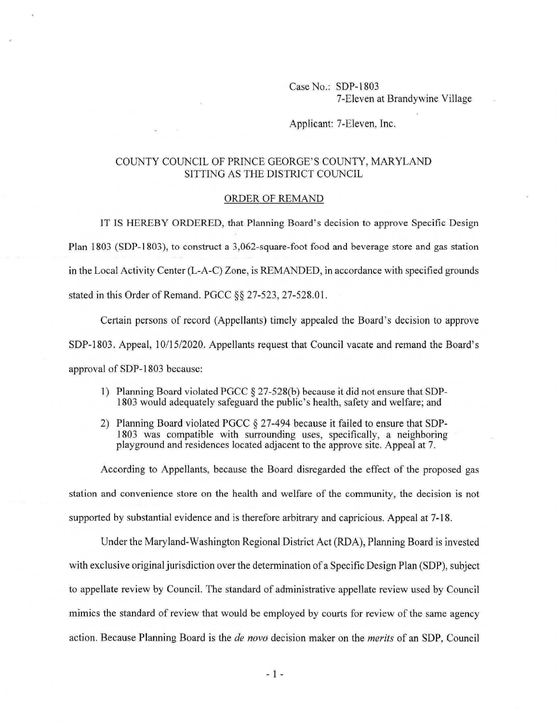## Case No.: SDP-1803 7-Eleven at Brandywine Village

## Applicant: 7-Eleven, Inc.

## COUNTY COUNCIL OF PRINCE GEORGE'S COUNTY, MARYLAND SITTING AS THE DISTRICT COUNCIL

## ORDER OF REMAND

IT IS HEREBY ORDERED, that Planning Board's decision to approve Specific Design Plan I 803 (SDP-1803), to construct a 3,062-square-foot food and beverage store and gas station in the Local Activity Center (L-A-C) Zone, is REMANDED, in accordance with specified grounds stated in this Order of Remand. PGCC §§ 27-523, 27-528.01.

Certain persons of record (Appellants) timely appealed the Board's decision to approve SDP-1803. Appeal, 10/15/2020. Appellants request that Council vacate and remand the Board's approval of SDP-1803 because:

- 1) Planning Board violated PGCC § 27-528(6) because it did not ensure that SDP-1803 would adequately safeguard the public's health, safety and welfare; and
- 2) Planning Board violated PGCC § 27-494 because it failed to ensure that SDP-1803 was compatible with surrounding uses, specifically, a neighboring playground and residences located adjacent to the approve site. Appeal at 7.

According to Appellants, because the Board disregarded the effect of the proposed gas station and convenience store on the health and welfare of the community, the decision is not supported by substantial evidence and is therefore arbitrary and capricious. Appeal at 7-18.

Under the Maryland-Washington Regional District Act (RDA), Planning Board is invested with exclusive original jurisdiction over the determination of a Specific Design Plan (SOP), subject to appellate review by Council. The standard of administrative appellate review used by Council mimics the standard of review that would be employed by courts for review of the same agency action. Because Planning Board is the *de novo* decision maker on the *merits* of an SOP, Council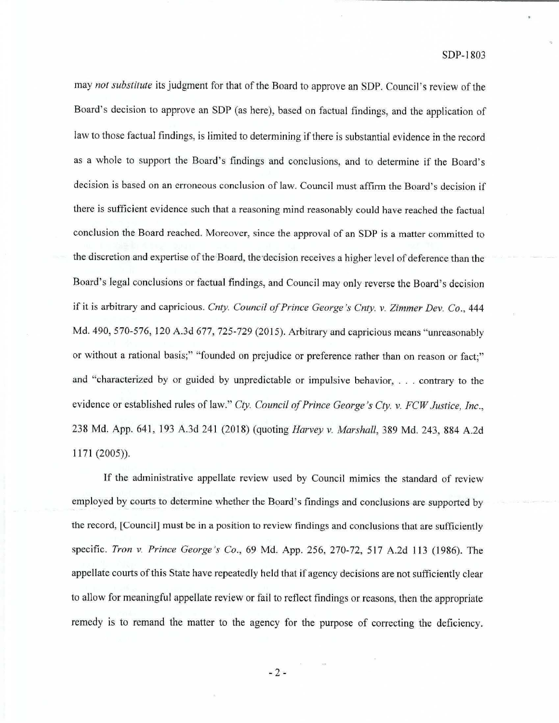may *not substitute* its judgment for that of the Board to approve an SDP. Council's review of the Board's decision to approve an SOP (as here), based on factual findings, and the application of law to those factual findings, is limited to determining if there is substantial evidence in the record as a whole to support the Board's findings and conclusions, and to determine if the Board's decision is based on an erroneous conclusion of law. Council must affirm the Board's decision if there is sufficient evidence such that a reasoning mind reasonably could have reached the factual conclusion the Board reached. Moreover, since the approval of an SDP is a matter committed to the discretion and expertise of the Board, the decision receives a higher level of deference than the Board's legal conclusions or factual findings, and Council may only reverse the Board's decision if it is arbitrary and capricious. *Cnty. Council of Prince George 's Cnty. v. Zimmer Dev. Co.,* 444 Md. 490, 570-576, 120 A.3d 677, 725-729 (2015). Arbitrary and capricious means "unreasonably or without a rational basis;" "founded on prejudice or preference rather than on reason or fact;" and "characterized by or guided by unpredictable or impulsive behavior, ... contrary to the evidence or established rules of law." *Cty. Council of Prince George 's Cty.* v. *FCW Justice, Inc.,*  238 Md. App. 641, 193 A.3d 241 (2018) (quoting *Harvey* v. *Marshall,* 389 Md. 243, 884 A.2d 1171 (2005)).

If the administrative appellate review used by Council mimics the standard of review employed by courts to determine whether the Board's findings and conclusions are supported by the record, [Council) must be in a position to review findings and conclusions that are sufficiently specific. *Tron v. Prince George 's Co.,* 69 Md. App. 256, 270-72, 517 A.2d 113 (1986). The appellate courts of this State have repeatedly held that if agency decisions are not sufficiently clear to allow for meaningful appellate review or fail to reflect findings or reasons, then the appropriate remedy is to remand the matter to the agency for the purpose of correcting the deficiency.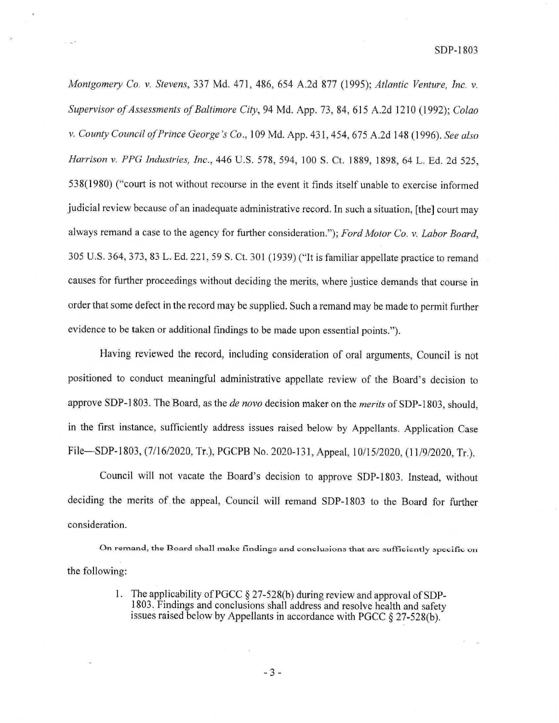*Montgomery Co. v. Stevens,* 337 Md. 4 71, 486, 654 A.2d 877 (1995); *Atlantic Venture, Inc. v. Supervisor of Assessments of Baltimore City,* 94 Md. App. 73, 84, 615 A.2d 1210 (1992); *Colao v. County Council of Prince George's Co.,* I 09 Md. App. 431 , 454, 675 A.2d 148 (I 996). *See also Harrison v. PPG Industries, Inc.,* 446 U.S. 578, 594, 100 S. Ct. 1889, 1898, 64 L. Ed. 2d 525, 538(1980) ("court is not without recourse in the event it finds itself unable to exercise informed judicial review because of an inadequate administrative record. In such a situation, [the] court may always remand a case to the agency for further consideration."); *Ford Motor Co. v. Labor Board,*  305 U.S. 364, 373, 83 L. Ed. 221, 59 S. Ct. 301 (1939) ("It is familiar appellate practice to remand causes for further proceedings without deciding the merits, where justice demands that course in order that some defect in the record may be supplied. Such a remand may be made to permit further evidence to be taken or additional findings to be made upon essential points.").

Having reviewed the record, including consideration of oral arguments, Council is not positioned to conduct meaningful administrative appellate review of the Board's decision to approve SDP-1803. The Board, as the *de nova* decision maker on the *merits* of SDP-1803, should, in the first instance, sufficiently address issues raised below by Appellants. Application Case File-SDP-1803, (7/16/2020, Tr.), PGCPB No. 2020-131 , Appeal, 10/15/2020, (11/9/2020, Tr.).

Council will not vacate the Board's decision to approve SDP-1803. Instead, without deciding the merits of. the appeal, Council will remand SDP-1803 to the Board for further consideration.

On remand, the Board shall make findings and conclusions that are sufficiently specific on the following:

> 1. The applicability of PGCC  $\S 27-528(b)$  during review and approval of SDP-1803. Findings and conclusions shall address and resolve health and safety issues raised below by Appellants in accordance with PGCC § 27-528(b).